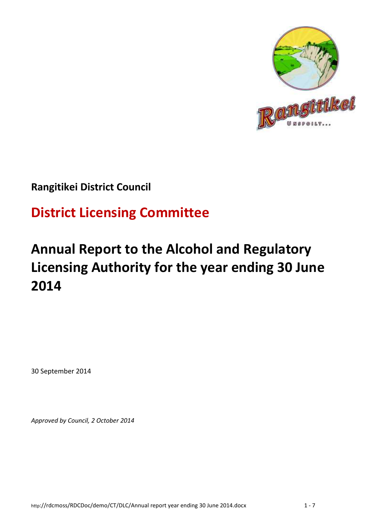

## **Rangitikei District Council**

## **District Licensing Committee**

# **Annual Report to the Alcohol and Regulatory Licensing Authority for the year ending 30 June 2014**

30 September 2014

*Approved by Council, 2 October 2014*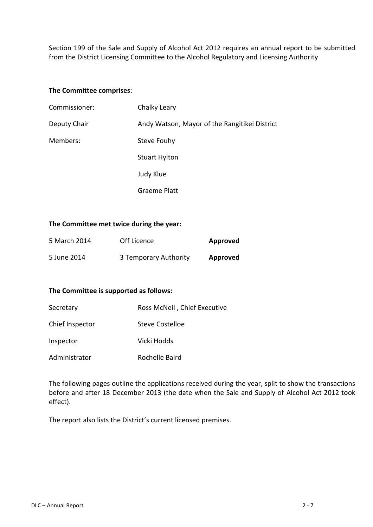Section 199 of the Sale and Supply of Alcohol Act 2012 requires an annual report to be submitted from the District Licensing Committee to the Alcohol Regulatory and Licensing Authority

#### **The Committee comprises**:

| Commissioner: | Chalky Leary                                  |
|---------------|-----------------------------------------------|
| Deputy Chair  | Andy Watson, Mayor of the Rangitikei District |
| Members:      | Steve Fouhy                                   |
|               | <b>Stuart Hylton</b>                          |
|               | Judy Klue                                     |
|               | Graeme Platt                                  |

#### **The Committee met twice during the year:**

| 5 March 2014 | Off Licence           | Approved |
|--------------|-----------------------|----------|
| 5 June 2014  | 3 Temporary Authority | Approved |

#### **The Committee is supported as follows:**

| Secretary       | Ross McNeil, Chief Executive |
|-----------------|------------------------------|
| Chief Inspector | Steve Costelloe              |
| Inspector       | Vicki Hodds                  |
| Administrator   | Rochelle Baird               |

The following pages outline the applications received during the year, split to show the transactions before and after 18 December 2013 (the date when the Sale and Supply of Alcohol Act 2012 took effect).

The report also lists the District's current licensed premises.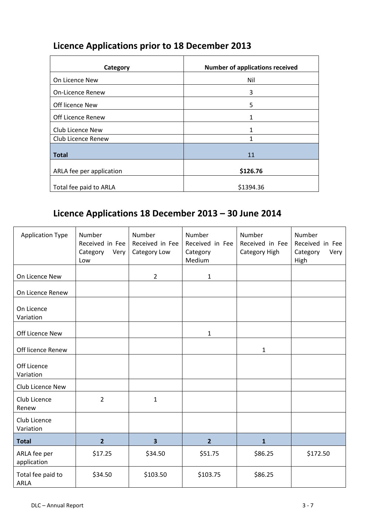| Licence Applications prior to 18 December 2013 |  |  |
|------------------------------------------------|--|--|
|------------------------------------------------|--|--|

| Category                 | <b>Number of applications received</b> |
|--------------------------|----------------------------------------|
| On Licence New           | Nil                                    |
| <b>On-Licence Renew</b>  | 3                                      |
| Off licence New          | 5                                      |
| <b>Off Licence Renew</b> |                                        |
| Club Licence New         | 1                                      |
| Club Licence Renew       | 1                                      |
| <b>Total</b>             | 11                                     |
| ARLA fee per application | \$126.76                               |
| Total fee paid to ARLA   | \$1394.36                              |

## **Licence Applications 18 December 2013 – 30 June 2014**

| <b>Application Type</b>     | Number<br>Received in Fee<br>Category<br>Very<br>Low | Number<br>Received in Fee<br>Category Low | Number<br>Received in Fee<br>Category<br>Medium | Number<br>Received in Fee<br>Category High | Number<br>Received in Fee<br>Category<br>Very<br>High |
|-----------------------------|------------------------------------------------------|-------------------------------------------|-------------------------------------------------|--------------------------------------------|-------------------------------------------------------|
| On Licence New              |                                                      | $\overline{2}$                            | 1                                               |                                            |                                                       |
| On Licence Renew            |                                                      |                                           |                                                 |                                            |                                                       |
| On Licence<br>Variation     |                                                      |                                           |                                                 |                                            |                                                       |
| Off Licence New             |                                                      |                                           | $\mathbf{1}$                                    |                                            |                                                       |
| Off licence Renew           |                                                      |                                           |                                                 | $\mathbf{1}$                               |                                                       |
| Off Licence<br>Variation    |                                                      |                                           |                                                 |                                            |                                                       |
| Club Licence New            |                                                      |                                           |                                                 |                                            |                                                       |
| Club Licence<br>Renew       | $\overline{2}$                                       | $\mathbf{1}$                              |                                                 |                                            |                                                       |
| Club Licence<br>Variation   |                                                      |                                           |                                                 |                                            |                                                       |
| <b>Total</b>                | $\overline{2}$                                       | 3                                         | $\overline{2}$                                  | $\mathbf{1}$                               |                                                       |
| ARLA fee per<br>application | \$17.25                                              | \$34.50                                   | \$51.75                                         | \$86.25                                    | \$172.50                                              |
| Total fee paid to<br>ARLA   | \$34.50                                              | \$103.50                                  | \$103.75                                        | \$86.25                                    |                                                       |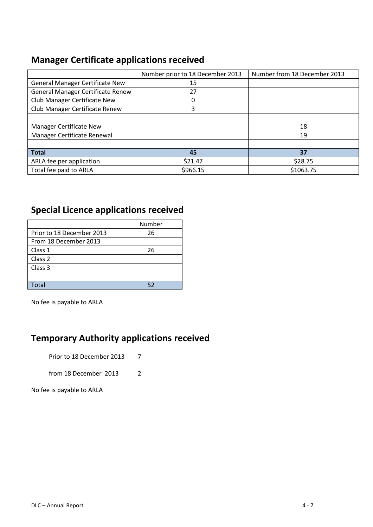## **Manager Certificate applications received**

|                                        | Number prior to 18 December 2013 | Number from 18 December 2013 |
|----------------------------------------|----------------------------------|------------------------------|
| <b>General Manager Certificate New</b> | 15                               |                              |
| General Manager Certificate Renew      | 27                               |                              |
| Club Manager Certificate New           | 0                                |                              |
| Club Manager Certificate Renew         | ς                                |                              |
|                                        |                                  |                              |
| Manager Certificate New                |                                  | 18                           |
| Manager Certificate Renewal            |                                  | 19                           |
|                                        |                                  |                              |
| <b>Total</b>                           | 45                               | 37                           |
| ARLA fee per application               | \$21.47                          | \$28.75                      |
| Total fee paid to ARLA                 | \$966.15                         | \$1063.75                    |

## **Special Licence applications received**

|                           | Number |
|---------------------------|--------|
| Prior to 18 December 2013 | 26     |
| From 18 December 2013     |        |
| Class 1                   | 26     |
| Class 2                   |        |
| Class 3                   |        |
|                           |        |
| <b>Cotal</b>              |        |

No fee is payable to ARLA

### **Temporary Authority applications received**

Prior to 18 December 2013 7

from 18 December 2013 2

No fee is payable to ARLA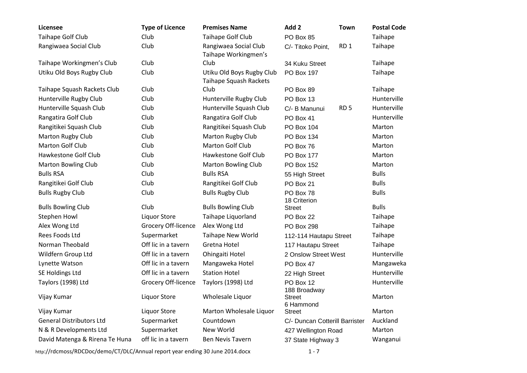| Licensee                        | <b>Type of Licence</b> | <b>Premises Name</b>                                | Add 2                                | <b>Town</b> | <b>Postal Code</b> |
|---------------------------------|------------------------|-----------------------------------------------------|--------------------------------------|-------------|--------------------|
| Taihape Golf Club               | Club                   | Taihape Golf Club                                   | PO Box 85                            |             | Taihape            |
| Rangiwaea Social Club           | Club                   | Rangiwaea Social Club<br>Taihape Workingmen's       | RD <sub>1</sub><br>C/- Titoko Point, |             | Taihape            |
| Taihape Workingmen's Club       | Club                   | Club                                                | 34 Kuku Street                       |             | Taihape            |
| Utiku Old Boys Rugby Club       | Club                   | Utiku Old Boys Rugby Club<br>Taihape Squash Rackets | PO Box 197                           |             | Taihape            |
| Taihape Squash Rackets Club     | Club                   | Club                                                | PO Box 89                            |             | Taihape            |
| Hunterville Rugby Club          | Club                   | Hunterville Rugby Club                              | PO Box 13                            |             | Hunterville        |
| Hunterville Squash Club         | Club                   | Hunterville Squash Club                             | RD <sub>5</sub><br>C/- B Manunui     |             | Hunterville        |
| Rangatira Golf Club             | Club                   | Rangatira Golf Club                                 | PO Box 41                            |             | Hunterville        |
| Rangitikei Squash Club          | Club                   | Rangitikei Squash Club                              | <b>PO Box 104</b>                    |             | Marton             |
| Marton Rugby Club               | Club                   | Marton Rugby Club                                   | <b>PO Box 134</b>                    |             | Marton             |
| Marton Golf Club                | Club                   | <b>Marton Golf Club</b>                             | PO Box 76                            |             | Marton             |
| Hawkestone Golf Club            | Club                   | Hawkestone Golf Club                                | <b>PO Box 177</b>                    |             | Marton             |
| <b>Marton Bowling Club</b>      | Club                   | <b>Marton Bowling Club</b>                          | <b>PO Box 152</b>                    |             | Marton             |
| <b>Bulls RSA</b>                | Club                   | <b>Bulls RSA</b>                                    | 55 High Street                       |             | <b>Bulls</b>       |
| Rangitikei Golf Club            | Club                   | Rangitikei Golf Club                                | PO Box 21                            |             | <b>Bulls</b>       |
| <b>Bulls Rugby Club</b>         | Club                   | <b>Bulls Rugby Club</b>                             | PO Box 78<br>18 Criterion            |             | <b>Bulls</b>       |
| <b>Bulls Bowling Club</b>       | Club                   | <b>Bulls Bowling Club</b>                           | <b>Street</b>                        |             | <b>Bulls</b>       |
| <b>Stephen Howl</b>             | <b>Liquor Store</b>    | Taihape Liquorland                                  | PO Box 22                            |             | Taihape            |
| Alex Wong Ltd                   | Grocery Off-licence    | Alex Wong Ltd                                       | <b>PO Box 298</b>                    |             | Taihape            |
| Rees Foods Ltd                  | Supermarket            | <b>Taihape New World</b>                            | 112-114 Hautapu Street               |             | Taihape            |
| Norman Theobald                 | Off lic in a tavern    | Gretna Hotel                                        | 117 Hautapu Street                   |             | Taihape            |
| Wildfern Group Ltd              | Off lic in a tavern    | Ohingaiti Hotel                                     | 2 Onslow Street West                 |             | Hunterville        |
| Lynette Watson                  | Off lic in a tavern    | Mangaweka Hotel                                     | PO Box 47                            |             | Mangaweka          |
| SE Holdings Ltd                 | Off lic in a tavern    | <b>Station Hotel</b>                                | 22 High Street                       |             | Hunterville        |
| Taylors (1998) Ltd              | Grocery Off-licence    | Taylors (1998) Ltd                                  | PO Box 12<br>188 Broadway            |             | Hunterville        |
| Vijay Kumar                     | <b>Liquor Store</b>    | Wholesale Liquor                                    | <b>Street</b><br>6 Hammond           |             | Marton             |
| Vijay Kumar                     | <b>Liquor Store</b>    | Marton Wholesale Liquor                             | <b>Street</b>                        |             | Marton             |
| <b>General Distributors Ltd</b> | Supermarket            | Countdown                                           | C/- Duncan Cotterill Barrister       |             | Auckland           |
| N & R Developments Ltd          | Supermarket            | New World                                           | 427 Wellington Road                  |             | Marton             |
| David Matenga & Rirena Te Huna  | off lic in a tavern    | <b>Ben Nevis Tavern</b>                             | 37 State Highway 3                   |             | Wanganui           |

http://rdcmoss/RDCDoc/demo/CT/DLC/Annual report year ending 30 June 2014.docx 1 - 7